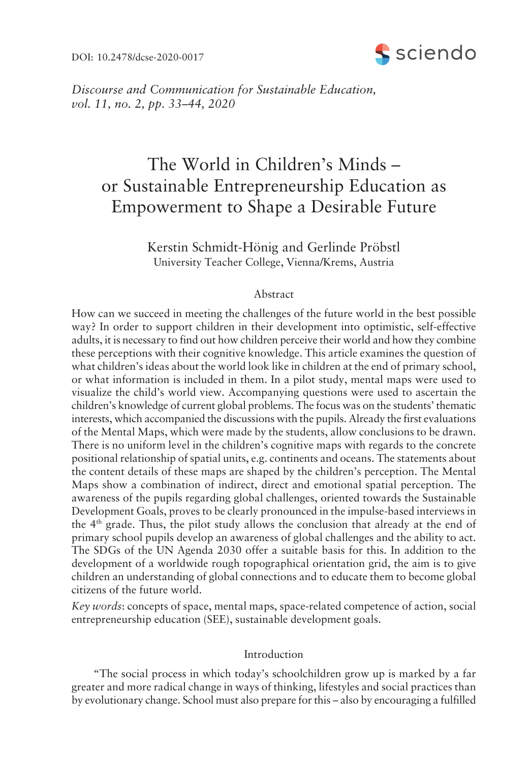DOI: 10.2478/dcse-2020-0017



*Discourse and Communication for Sustainable Education, vol.* 11, no. 2, pp. 33–44, 2020

# The World in Children's Minds  $$ or Sustainable Entrepreneurship Education as Empowerment to Shape a Desirable Future

Kerstin Schmidt-Hönig and Gerlinde Pröbstl University Teacher College, Vienna/Krems, Austria

## Abstract

How can we succeed in meeting the challenges of the future world in the best possible way? In order to support children in their development into optimistic, self-effective adults, it is necessary to find out how children perceive their world and how they combine these perceptions with their cognitive knowledge. This article examines the question of what children's ideas about the world look like in children at the end of primary school, or what information is included in them. In a pilot study, mental maps were used to visualize the childís world view. Accompanying questions were used to ascertain the children's knowledge of current global problems. The focus was on the students' thematic interests, which accompanied the discussions with the pupils. Already the first evaluations of the Mental Maps, which were made by the students, allow conclusions to be drawn. There is no uniform level in the children's cognitive maps with regards to the concrete positional relationship of spatial units, e.g. continents and oceans. The statements about the content details of these maps are shaped by the children's perception. The Mental Maps show a combination of indirect, direct and emotional spatial perception. The awareness of the pupils regarding global challenges, oriented towards the Sustainable Development Goals, proves to be clearly pronounced in the impulse-based interviews in the  $4<sup>th</sup>$  grade. Thus, the pilot study allows the conclusion that already at the end of primary school pupils develop an awareness of global challenges and the ability to act. The SDGs of the UN Agenda 2030 offer a suitable basis for this. In addition to the development of a worldwide rough topographical orientation grid, the aim is to give children an understanding of global connections and to educate them to become global citizens of the future world.

*Key words*: concepts of space, mental maps, space-related competence of action, social entrepreneurship education (SEE), sustainable development goals.

# Introduction

ìThe social process in which todayís schoolchildren grow up is marked by a far greater and more radical change in ways of thinking, lifestyles and social practices than by evolutionary change. School must also prepare for this – also by encouraging a fulfilled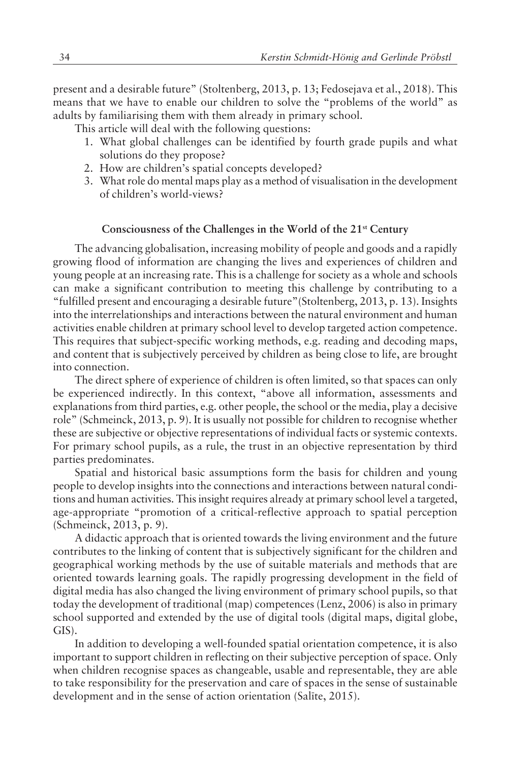present and a desirable futureî (Stoltenberg, 2013, p. 13; Fedosejava et al., 2018). This means that we have to enable our children to solve the "problems of the world" as adults by familiarising them with them already in primary school.

This article will deal with the following questions:

- 1. What global challenges can be identified by fourth grade pupils and what solutions do they propose?
- 2. How are children's spatial concepts developed?
- 3. What role do mental maps play as a method of visualisation in the development of children's world-views?

## **Consciousness of the Challenges in the World of the 21st Century**

The advancing globalisation, increasing mobility of people and goods and a rapidly growing flood of information are changing the lives and experiences of children and young people at an increasing rate. This is a challenge for society as a whole and schools can make a significant contribution to meeting this challenge by contributing to a "fulfilled present and encouraging a desirable future" (Stoltenberg, 2013, p. 13). Insights into the interrelationships and interactions between the natural environment and human activities enable children at primary school level to develop targeted action competence. This requires that subject-specific working methods, e.g. reading and decoding maps, and content that is subjectively perceived by children as being close to life, are brought into connection.

The direct sphere of experience of children is often limited, so that spaces can only be experienced indirectly. In this context, "above all information, assessments and explanations from third parties, e.g. other people, the school or the media, play a decisive role" (Schmeinck, 2013, p. 9). It is usually not possible for children to recognise whether these are subjective or objective representations of individual facts or systemic contexts. For primary school pupils, as a rule, the trust in an objective representation by third parties predominates.

Spatial and historical basic assumptions form the basis for children and young people to develop insights into the connections and interactions between natural conditions and human activities. This insight requires already at primary school level a targeted, age-appropriate "promotion of a critical-reflective approach to spatial perception (Schmeinck, 2013, p. 9).

A didactic approach that is oriented towards the living environment and the future contributes to the linking of content that is subjectively significant for the children and geographical working methods by the use of suitable materials and methods that are oriented towards learning goals. The rapidly progressing development in the field of digital media has also changed the living environment of primary school pupils, so that today the development of traditional (map) competences (Lenz, 2006) is also in primary school supported and extended by the use of digital tools (digital maps, digital globe, GIS).

In addition to developing a well-founded spatial orientation competence, it is also important to support children in reflecting on their subjective perception of space. Only when children recognise spaces as changeable, usable and representable, they are able to take responsibility for the preservation and care of spaces in the sense of sustainable development and in the sense of action orientation (Salīte, 2015).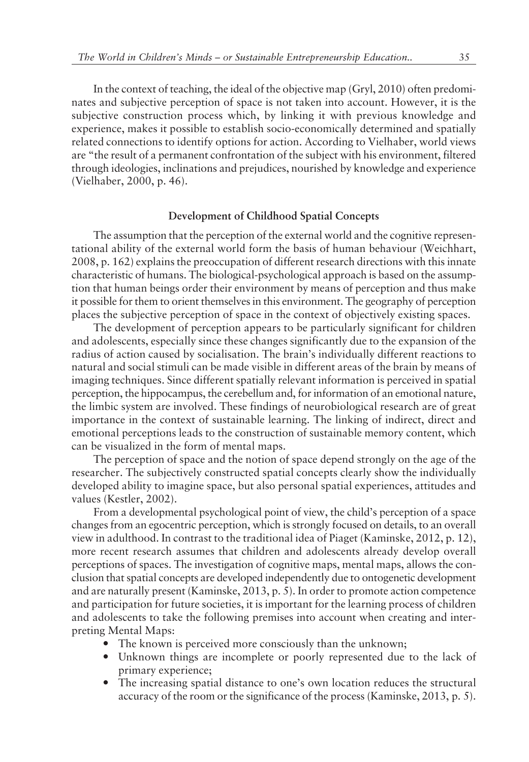In the context of teaching, the ideal of the objective map (Gryl, 2010) often predominates and subjective perception of space is not taken into account. However, it is the subjective construction process which, by linking it with previous knowledge and experience, makes it possible to establish socio-economically determined and spatially related connections to identify options for action. According to Vielhaber, world views are "the result of a permanent confrontation of the subject with his environment, filtered through ideologies, inclinations and prejudices, nourished by knowledge and experience (Vielhaber, 2000, p. 46).

#### **Development of Childhood Spatial Concepts**

The assumption that the perception of the external world and the cognitive representational ability of the external world form the basis of human behaviour (Weichhart, 2008, p. 162) explains the preoccupation of different research directions with this innate characteristic of humans. The biological-psychological approach is based on the assumption that human beings order their environment by means of perception and thus make it possible for them to orient themselves in this environment. The geography of perception places the subjective perception of space in the context of objectively existing spaces.

The development of perception appears to be particularly significant for children and adolescents, especially since these changes significantly due to the expansion of the radius of action caused by socialisation. The brain's individually different reactions to natural and social stimuli can be made visible in different areas of the brain by means of imaging techniques. Since different spatially relevant information is perceived in spatial perception, the hippocampus, the cerebellum and, for information of an emotional nature, the limbic system are involved. These findings of neurobiological research are of great importance in the context of sustainable learning. The linking of indirect, direct and emotional perceptions leads to the construction of sustainable memory content, which can be visualized in the form of mental maps.

The perception of space and the notion of space depend strongly on the age of the researcher. The subjectively constructed spatial concepts clearly show the individually developed ability to imagine space, but also personal spatial experiences, attitudes and values (Kestler, 2002).

From a developmental psychological point of view, the child's perception of a space changes from an egocentric perception, which is strongly focused on details, to an overall view in adulthood. In contrast to the traditional idea of Piaget (Kaminske, 2012, p. 12), more recent research assumes that children and adolescents already develop overall perceptions of spaces. The investigation of cognitive maps, mental maps, allows the conclusion that spatial concepts are developed independently due to ontogenetic development and are naturally present (Kaminske, 2013, p. 5). In order to promote action competence and participation for future societies, it is important for the learning process of children and adolescents to take the following premises into account when creating and interpreting Mental Maps:

- The known is perceived more consciously than the unknown;
- ó Unknown things are incomplete or poorly represented due to the lack of primary experience;
- The increasing spatial distance to one's own location reduces the structural accuracy of the room or the significance of the process (Kaminske, 2013, p. 5).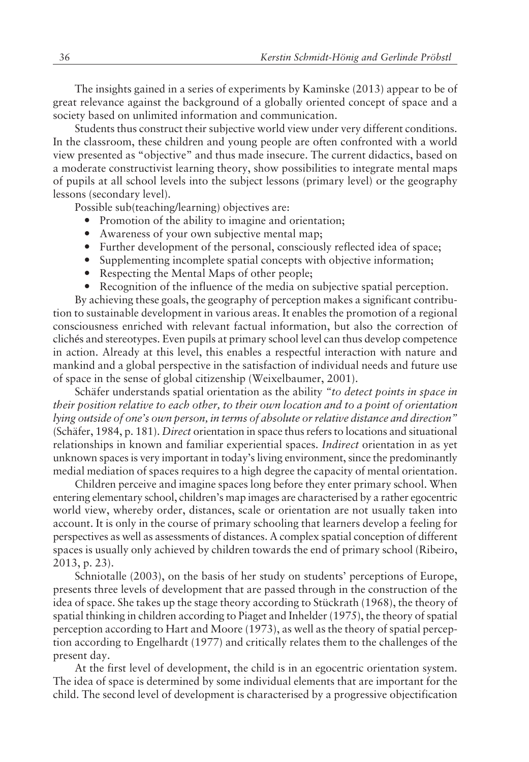The insights gained in a series of experiments by Kaminske (2013) appear to be of great relevance against the background of a globally oriented concept of space and a society based on unlimited information and communication.

Students thus construct their subjective world view under very different conditions. In the classroom, these children and young people are often confronted with a world view presented as "objective" and thus made insecure. The current didactics, based on a moderate constructivist learning theory, show possibilities to integrate mental maps of pupils at all school levels into the subject lessons (primary level) or the geography lessons (secondary level).

Possible sub(teaching/learning) objectives are:

- Promotion of the ability to imagine and orientation;
- ó Awareness of your own subjective mental map;
- ó Further development of the personal, consciously reflected idea of space;
- ó Supplementing incomplete spatial concepts with objective information;
- Respecting the Mental Maps of other people;
- ó Recognition of the influence of the media on subjective spatial perception.

By achieving these goals, the geography of perception makes a significant contribution to sustainable development in various areas. It enables the promotion of a regional consciousness enriched with relevant factual information, but also the correction of clichés and stereotypes. Even pupils at primary school level can thus develop competence in action. Already at this level, this enables a respectful interaction with nature and mankind and a global perspective in the satisfaction of individual needs and future use of space in the sense of global citizenship (Weixelbaumer, 2001).

Schäfer understands spatial orientation as the ability "to detect points in space in *their position relative to each other, to their own location and to a point of orientation* lying outside of one's own person, in terms of absolute or relative distance and direction" (Sch‰fer, 1984, p. 181). *Direct* orientation in space thus refers to locations and situational relationships in known and familiar experiential spaces. *Indirect* orientation in as yet unknown spaces is very important in today's living environment, since the predominantly medial mediation of spaces requires to a high degree the capacity of mental orientation.

Children perceive and imagine spaces long before they enter primary school. When entering elementary school, children's map images are characterised by a rather egocentric world view, whereby order, distances, scale or orientation are not usually taken into account. It is only in the course of primary schooling that learners develop a feeling for perspectives as well as assessments of distances. A complex spatial conception of different spaces is usually only achieved by children towards the end of primary school (Ribeiro, 2013, p. 23).

Schniotalle (2003), on the basis of her study on students' perceptions of Europe, presents three levels of development that are passed through in the construction of the idea of space. She takes up the stage theory according to Stückrath (1968), the theory of spatial thinking in children according to Piaget and Inhelder (1975), the theory of spatial perception according to Hart and Moore (1973), as well as the theory of spatial perception according to Engelhardt (1977) and critically relates them to the challenges of the present day.

At the first level of development, the child is in an egocentric orientation system. The idea of space is determined by some individual elements that are important for the child. The second level of development is characterised by a progressive objectification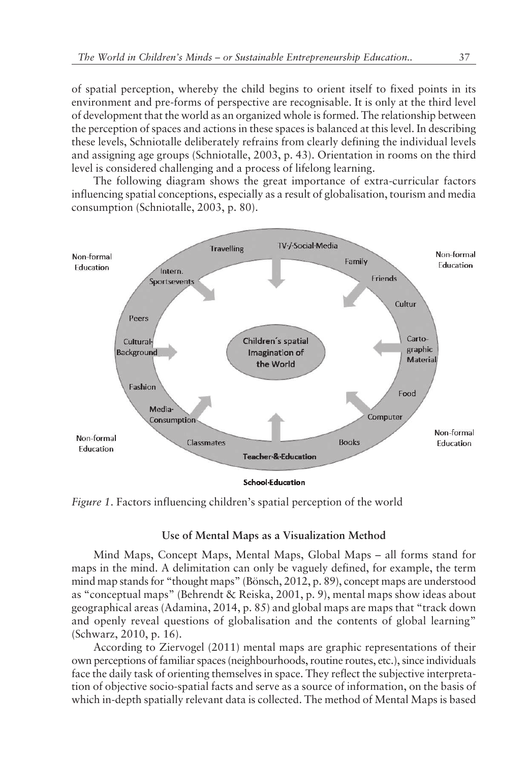of spatial perception, whereby the child begins to orient itself to fixed points in its environment and pre-forms of perspective are recognisable. It is only at the third level of development that the world as an organized whole is formed. The relationship between the perception of spaces and actions in these spaces is balanced at this level. In describing these levels, Schniotalle deliberately refrains from clearly defining the individual levels and assigning age groups (Schniotalle, 2003, p. 43). Orientation in rooms on the third level is considered challenging and a process of lifelong learning.

The following diagram shows the great importance of extra-curricular factors influencing spatial conceptions, especially as a result of globalisation, tourism and media consumption (Schniotalle, 2003, p. 80).



*Figure 1*. Factors influencing children's spatial perception of the world

# **Use of Mental Maps as a Visualization Method**

Mind Maps, Concept Maps, Mental Maps, Global Maps – all forms stand for maps in the mind. A delimitation can only be vaguely defined, for example, the term mind map stands for "thought maps" (Bönsch, 2012, p. 89), concept maps are understood as "conceptual maps" (Behrendt & Reiska, 2001, p. 9), mental maps show ideas about geographical areas (Adamina, 2014, p. 85) and global maps are maps that "track down and openly reveal questions of globalisation and the contents of global learning" (Schwarz, 2010, p. 16).

According to Ziervogel (2011) mental maps are graphic representations of their own perceptions of familiar spaces (neighbourhoods, routine routes, etc.), since individuals face the daily task of orienting themselves in space. They reflect the subjective interpretation of objective socio-spatial facts and serve as a source of information, on the basis of which in-depth spatially relevant data is collected. The method of Mental Maps is based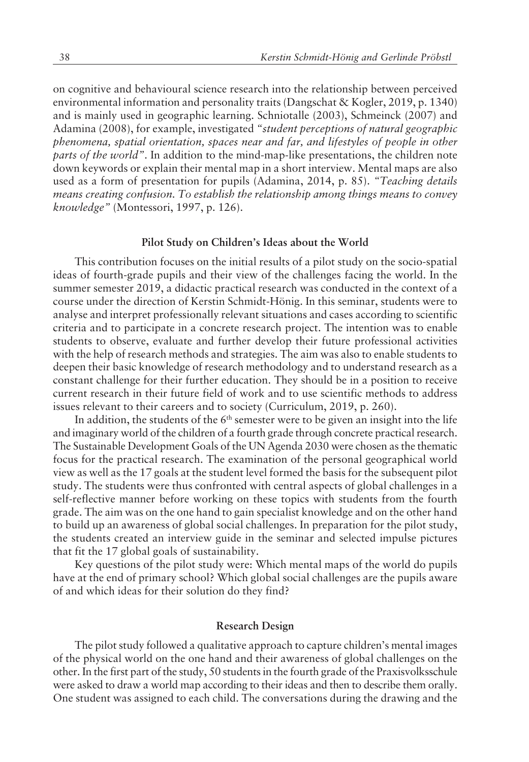on cognitive and behavioural science research into the relationship between perceived environmental information and personality traits (Dangschat & Kogler, 2019, p. 1340) and is mainly used in geographic learning. Schniotalle (2003), Schmeinck (2007) and Adamina (2008), for example, investigated *ìstudent perceptions of natural geographic phenomena, spatial orientation, spaces near and far, and lifestyles of people in other parts of the world*". In addition to the mind-map-like presentations, the children note down keywords or explain their mental map in a short interview. Mental maps are also used as a form of presentation for pupils (Adamina, 2014, p. 85). *ìTeaching details means creating confusion. To establish the relationship among things means to convey knowledgeî* (Montessori, 1997, p. 126).

#### Pilot Study on Children's Ideas about the World

This contribution focuses on the initial results of a pilot study on the socio-spatial ideas of fourth-grade pupils and their view of the challenges facing the world. In the summer semester 2019, a didactic practical research was conducted in the context of a course under the direction of Kerstin Schmidt-Hönig. In this seminar, students were to analyse and interpret professionally relevant situations and cases according to scientific criteria and to participate in a concrete research project. The intention was to enable students to observe, evaluate and further develop their future professional activities with the help of research methods and strategies. The aim was also to enable students to deepen their basic knowledge of research methodology and to understand research as a constant challenge for their further education. They should be in a position to receive current research in their future field of work and to use scientific methods to address issues relevant to their careers and to society (Curriculum, 2019, p. 260).

In addition, the students of the  $6<sup>th</sup>$  semester were to be given an insight into the life and imaginary world of the children of a fourth grade through concrete practical research. The Sustainable Development Goals of the UN Agenda 2030 were chosen as the thematic focus for the practical research. The examination of the personal geographical world view as well as the 17 goals at the student level formed the basis for the subsequent pilot study. The students were thus confronted with central aspects of global challenges in a self-reflective manner before working on these topics with students from the fourth grade. The aim was on the one hand to gain specialist knowledge and on the other hand to build up an awareness of global social challenges. In preparation for the pilot study, the students created an interview guide in the seminar and selected impulse pictures that fit the 17 global goals of sustainability.

Key questions of the pilot study were: Which mental maps of the world do pupils have at the end of primary school? Which global social challenges are the pupils aware of and which ideas for their solution do they find?

#### **Research Design**

The pilot study followed a qualitative approach to capture children's mental images of the physical world on the one hand and their awareness of global challenges on the other. In the first part of the study, 50 students in the fourth grade of the Praxisvolksschule were asked to draw a world map according to their ideas and then to describe them orally. One student was assigned to each child. The conversations during the drawing and the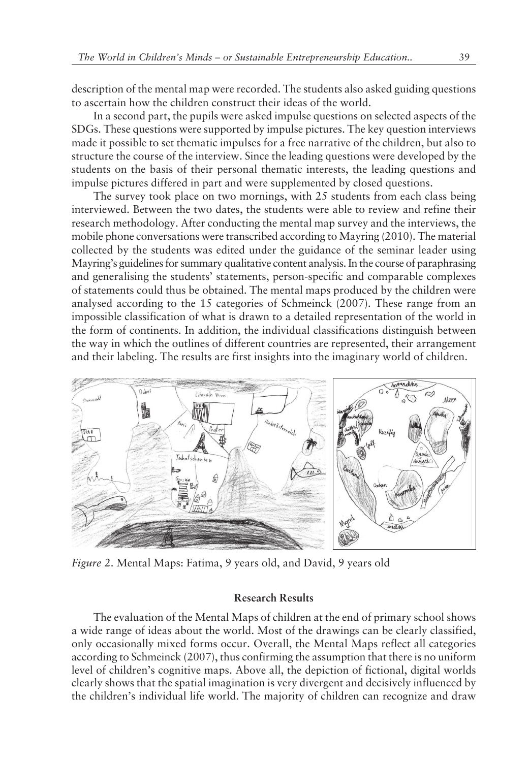description of the mental map were recorded. The students also asked guiding questions to ascertain how the children construct their ideas of the world.

In a second part, the pupils were asked impulse questions on selected aspects of the SDGs. These questions were supported by impulse pictures. The key question interviews made it possible to set thematic impulses for a free narrative of the children, but also to structure the course of the interview. Since the leading questions were developed by the students on the basis of their personal thematic interests, the leading questions and impulse pictures differed in part and were supplemented by closed questions.

The survey took place on two mornings, with 25 students from each class being interviewed. Between the two dates, the students were able to review and refine their research methodology. After conducting the mental map survey and the interviews, the mobile phone conversations were transcribed according to Mayring (2010). The material collected by the students was edited under the guidance of the seminar leader using Mayring's guidelines for summary qualitative content analysis. In the course of paraphrasing and generalising the students' statements, person-specific and comparable complexes of statements could thus be obtained. The mental maps produced by the children were analysed according to the 15 categories of Schmeinck (2007). These range from an impossible classification of what is drawn to a detailed representation of the world in the form of continents. In addition, the individual classifications distinguish between the way in which the outlines of different countries are represented, their arrangement and their labeling. The results are first insights into the imaginary world of children.



*Figure 2*. Mental Maps: Fatima, 9 years old, and David, 9 years old

# **Research Results**

The evaluation of the Mental Maps of children at the end of primary school shows a wide range of ideas about the world. Most of the drawings can be clearly classified, only occasionally mixed forms occur. Overall, the Mental Maps reflect all categories according to Schmeinck (2007), thus confirming the assumption that there is no uniform level of children's cognitive maps. Above all, the depiction of fictional, digital worlds clearly shows that the spatial imagination is very divergent and decisively influenced by the children's individual life world. The majority of children can recognize and draw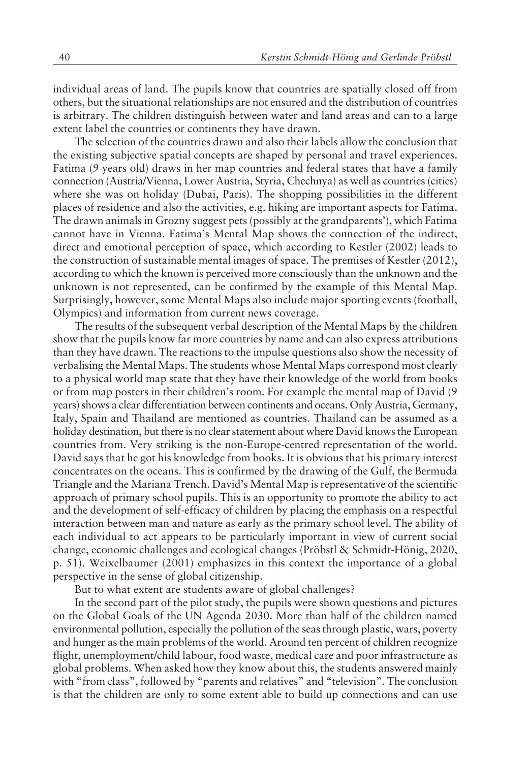individual areas of land. The pupils know that countries are spatially closed off from others, but the situational relationships are not ensured and the distribution of countries is arbitrary. The children distinguish between water and land areas and can to a large extent label the countries or continents they have drawn.

The selection of the countries drawn and also their labels allow the conclusion that the existing subjective spatial concepts are shaped by personal and travel experiences. Fatima (9 years old) draws in her map countries and federal states that have a family connection (Austria/Vienna, Lower Austria, Styria, Chechnya) as well as countries (cities) where she was on holiday (Dubai, Paris). The shopping possibilities in the different places of residence and also the activities, e.g. hiking are important aspects for Fatima. The drawn animals in Grozny suggest pets (possibly at the grandparents'), which Fatima cannot have in Vienna. Fatimaís Mental Map shows the connection of the indirect, direct and emotional perception of space, which according to Kestler (2002) leads to the construction of sustainable mental images of space. The premises of Kestler (2012), according to which the known is perceived more consciously than the unknown and the unknown is not represented, can be confirmed by the example of this Mental Map. Surprisingly, however, some Mental Maps also include major sporting events (football, Olympics) and information from current news coverage.

The results of the subsequent verbal description of the Mental Maps by the children show that the pupils know far more countries by name and can also express attributions than they have drawn. The reactions to the impulse questions also show the necessity of verbalising the Mental Maps. The students whose Mental Maps correspond most clearly to a physical world map state that they have their knowledge of the world from books or from map posters in their children's room. For example the mental map of David (9 years) shows a clear differentiation between continents and oceans. Only Austria, Germany, Italy, Spain and Thailand are mentioned as countries. Thailand can be assumed as a holiday destination, but there is no clear statement about where David knows the European countries from. Very striking is the non-Europe-centred representation of the world. David says that he got his knowledge from books. It is obvious that his primary interest concentrates on the oceans. This is confirmed by the drawing of the Gulf, the Bermuda Triangle and the Mariana Trench. David's Mental Map is representative of the scientific approach of primary school pupils. This is an opportunity to promote the ability to act and the development of self-efficacy of children by placing the emphasis on a respectful interaction between man and nature as early as the primary school level. The ability of each individual to act appears to be particularly important in view of current social change, economic challenges and ecological changes (Pröbstl & Schmidt-Hönig, 2020, p. 51). Weixelbaumer (2001) emphasizes in this context the importance of a global perspective in the sense of global citizenship.

But to what extent are students aware of global challenges?

In the second part of the pilot study, the pupils were shown questions and pictures on the Global Goals of the UN Agenda 2030. More than half of the children named environmental pollution, especially the pollution of the seas through plastic, wars, poverty and hunger as the main problems of the world. Around ten percent of children recognize flight, unemployment/child labour, food waste, medical care and poor infrastructure as global problems. When asked how they know about this, the students answered mainly with "from class", followed by "parents and relatives" and "television". The conclusion is that the children are only to some extent able to build up connections and can use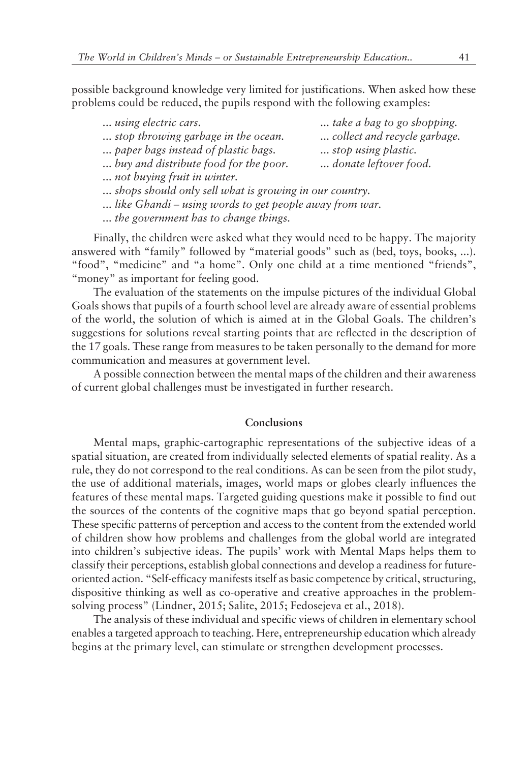possible background knowledge very limited for justifications. When asked how these problems could be reduced, the pupils respond with the following examples:

| using electric cars.                                   | take a bag to go shopping.   |
|--------------------------------------------------------|------------------------------|
| stop throwing garbage in the ocean.                    | collect and recycle garbage. |
| paper bags instead of plastic bags.                    | stop using plastic.          |
| buy and distribute food for the poor.                  | donate leftover food.        |
| not buying fruit in winter.                            |                              |
| shops should only sell what is growing in our country. |                              |

*... like Ghandi – using words to get people away from war.* 

*... the government has to change things.*

Finally, the children were asked what they would need to be happy. The majority answered with "family" followed by "material goods" such as (bed, toys, books, ...). "food", "medicine" and "a home". Only one child at a time mentioned "friends", "money" as important for feeling good.

The evaluation of the statements on the impulse pictures of the individual Global Goals shows that pupils of a fourth school level are already aware of essential problems of the world, the solution of which is aimed at in the Global Goals. The childrenís suggestions for solutions reveal starting points that are reflected in the description of the 17 goals. These range from measures to be taken personally to the demand for more communication and measures at government level.

A possible connection between the mental maps of the children and their awareness of current global challenges must be investigated in further research.

# **Conclusions**

Mental maps, graphic-cartographic representations of the subjective ideas of a spatial situation, are created from individually selected elements of spatial reality. As a rule, they do not correspond to the real conditions. As can be seen from the pilot study, the use of additional materials, images, world maps or globes clearly influences the features of these mental maps. Targeted guiding questions make it possible to find out the sources of the contents of the cognitive maps that go beyond spatial perception. These specific patterns of perception and access to the content from the extended world of children show how problems and challenges from the global world are integrated into children's subjective ideas. The pupils' work with Mental Maps helps them to classify their perceptions, establish global connections and develop a readiness for futureoriented action. "Self-efficacy manifests itself as basic competence by critical, structuring, dispositive thinking as well as co-operative and creative approaches in the problemsolving process" (Lindner, 2015; Salite, 2015; Fedosejeva et al., 2018).

The analysis of these individual and specific views of children in elementary school enables a targeted approach to teaching. Here, entrepreneurship education which already begins at the primary level, can stimulate or strengthen development processes.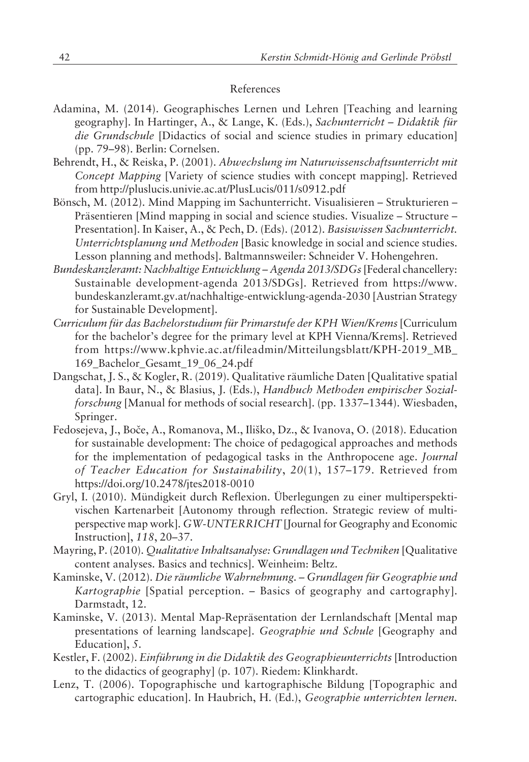### References

- Adamina, M. (2014). Geographisches Lernen und Lehren [Teaching and learning geography]. In Hartinger, A., & Lange, K. (Eds.), *Sachunterricht - Didaktik für die Grundschule* [Didactics of social and science studies in primary education] (pp. 79-98). Berlin: Cornelsen.
- Behrendt, H., & Reiska, P. (2001). *Abwechslung im Naturwissenschaftsunterricht mit Concept Mapping* [Variety of science studies with concept mapping]. Retrieved from http://pluslucis.univie.ac.at/PlusLucis/011/s0912.pdf
- Bönsch, M. (2012). Mind Mapping im Sachunterricht. Visualisieren Strukturieren -Präsentieren [Mind mapping in social and science studies. Visualize - Structure -Presentation]. In Kaiser, A., & Pech, D. (Eds). (2012). *Basiswissen Sachunterricht. Unterrichtsplanung und Methoden* [Basic knowledge in social and science studies. Lesson planning and methods]. Baltmannsweiler: Schneider V. Hohengehren.
- Bundeskanzleramt: Nachhaltige Entwicklung Agenda 2013/SDGs [Federal chancellery: Sustainable development-agenda 2013/SDGs]. Retrieved from https://www. bundeskanzleramt.gv.at/nachhaltige-entwicklung-agenda-2030 [Austrian Strategy for Sustainable Development].
- Curriculum für das Bachelorstudium für Primarstufe der KPH Wien/Krems [Curriculum for the bachelor's degree for the primary level at KPH Vienna/Krems]. Retrieved from https://www.kphvie.ac.at/fileadmin/Mitteilungsblatt/KPH-2019\_MB\_ 169\_Bachelor\_Gesamt\_19\_06\_24.pdf
- Dangschat, J. S., & Kogler, R. (2019). Qualitative räumliche Daten [Qualitative spatial data]. In Baur, N., & Blasius, J. (Eds.), *Handbuch Methoden empirischer Sozialforschung* [Manual for methods of social research]. (pp. 1337–1344). Wiesbaden, Springer.
- Fedosejeva, J., BoËe, A., Romanova, M., Iliko, Dz., & Ivanova, O. (2018). Education for sustainable development: The choice of pedagogical approaches and methods for the implementation of pedagogical tasks in the Anthropocene age. *Journal of Teacher Education for Sustainability*, 20(1), 157–179. Retrieved from https://doi.org/10.2478/jtes2018-0010
- Gryl, I. (2010). Mündigkeit durch Reflexion. Überlegungen zu einer multiperspektivischen Kartenarbeit [Autonomy through reflection. Strategic review of multiperspective map work]. *GW-UNTERRICHT* [Journal for Geography and Economic Instruction], 118, 20–37.
- Mayring, P. (2010). *Qualitative Inhaltsanalyse: Grundlagen und Techniken* [Qualitative content analyses. Basics and technics]. Weinheim: Beltz.
- Kaminske, V. (2012). *Die räumliche Wahrnehmung. Grundlagen für Geographie und Kartographie* [Spatial perception. – Basics of geography and cartography]. Darmstadt, 12.
- Kaminske, V. (2013). Mental Map-Repräsentation der Lernlandschaft [Mental map presentations of learning landscape]. *Geographie und Schule* [Geography and Education], *5*.
- Kestler, F. (2002). *Einführung in die Didaktik des Geographieunterrichts* [Introduction to the didactics of geography] (p. 107). Riedem: Klinkhardt.
- Lenz, T. (2006). Topographische und kartographische Bildung [Topographic and cartographic education]. In Haubrich, H. (Ed.), *Geographie unterrichten lernen.*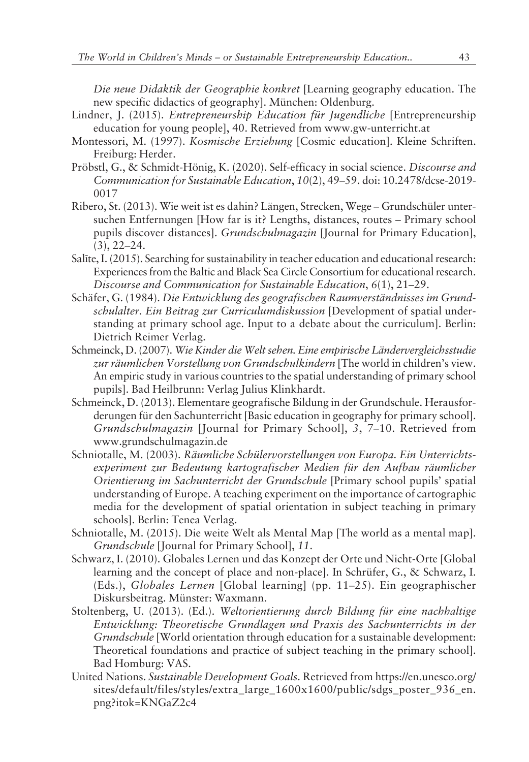*Die neue Didaktik der Geographie konkret* [Learning geography education. The new specific didactics of geography]. München: Oldenburg.

- Lindner, J. (2015). *Entrepreneurship Education für Jugendliche* [Entrepreneurship education for young people], 40. Retrieved from www.gw-unterricht.at
- Montessori, M. (1997). *Kosmische Erziehung* [Cosmic education]. Kleine Schriften. Freiburg: Herder.
- Pröbstl, G., & Schmidt-Hönig, K. (2020). Self-efficacy in social science. *Discourse and Communication for Sustainable Education*,  $10(2)$ , 49–59. doi: 10.2478/dcse-2019-0017
- Ribero, St. (2013). Wie weit ist es dahin? Längen, Strecken, Wege Grundschüler untersuchen Entfernungen [How far is it? Lengths, distances, routes – Primary school pupils discover distances]. *Grundschulmagazin* [Journal for Primary Education],  $(3), 22-24.$
- Salīte, I. (2015). Searching for sustainability in teacher education and educational research: Experiences from the Baltic and Black Sea Circle Consortium for educational research. *Discourse and Communication for Sustainable Education,* 6(1), 21–29.
- Schäfer, G. (1984). *Die Entwicklung des geografischen Raumverständnisses im Grundschulalter. Ein Beitrag zur Curriculumdiskussion* [Development of spatial understanding at primary school age. Input to a debate about the curriculum]. Berlin: Dietrich Reimer Verlag.
- Schmeinck, D. (2007). *Wie Kinder die Welt sehen. Eine empirische L‰ndervergleichsstudie* zur räumlichen Vorstellung von Grundschulkindern [The world in children's view. An empiric study in various countries to the spatial understanding of primary school pupils]. Bad Heilbrunn: Verlag Julius Klinkhardt.
- Schmeinck, D. (2013). Elementare geografische Bildung in der Grundschule. Herausforderungen für den Sachunterricht [Basic education in geography for primary school]. *Grundschulmagazin* [Journal for Primary School], 3, 7-10. Retrieved from www.grundschulmagazin.de
- Schniotalle, M. (2003). *Räumliche Schülervorstellungen von Europa*. Ein Unterrichtsexperiment zur Bedeutung kartografischer Medien für den Aufbau räumlicher Orientierung im Sachunterricht der Grundschule [Primary school pupils' spatial understanding of Europe. A teaching experiment on the importance of cartographic media for the development of spatial orientation in subject teaching in primary schools]. Berlin: Tenea Verlag.
- Schniotalle, M. (2015). Die weite Welt als Mental Map [The world as a mental map]. *Grundschule* [Journal for Primary School], *11*.
- Schwarz, I. (2010). Globales Lernen und das Konzept der Orte und Nicht-Orte [Global learning and the concept of place and non-place]. In Schrüfer, G., & Schwarz, I. (Eds.), *Globales Lernen* [Global learning] (pp. 11–25). Ein geographischer Diskursbeitrag. Münster: Waxmann.
- Stoltenberg, U. (2013). (Ed.). *Weltorientierung durch Bildung für eine nachhaltige Entwicklung: Theoretische Grundlagen und Praxis des Sachunterrichts in der Grundschule* [World orientation through education for a sustainable development: Theoretical foundations and practice of subject teaching in the primary school]. Bad Homburg: VAS.
- United Nations. *Sustainable Development Goals.* Retrieved from https://en.unesco.org/ sites/default/files/styles/extra\_large\_1600x1600/public/sdgs\_poster\_936\_en. png?itok=KNGaZ2c4